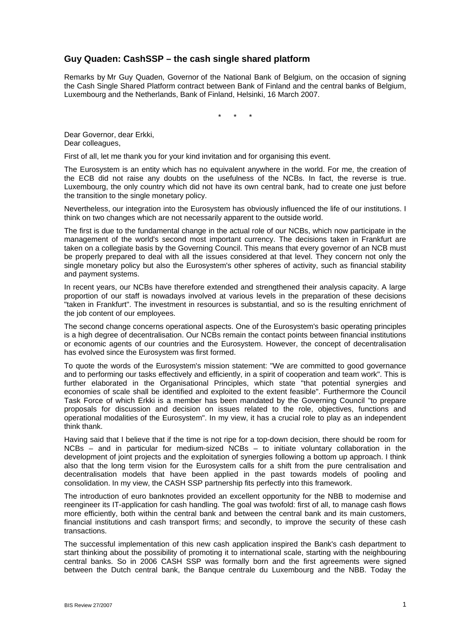## **Guy Quaden: CashSSP – the cash single shared platform**

Remarks by Mr Guy Quaden, Governor of the National Bank of Belgium, on the occasion of signing the Cash Single Shared Platform contract between Bank of Finland and the central banks of Belgium, Luxembourg and the Netherlands, Bank of Finland, Helsinki, 16 March 2007.

\* \* \*

Dear Governor, dear Erkki, Dear colleagues,

First of all, let me thank you for your kind invitation and for organising this event.

The Eurosystem is an entity which has no equivalent anywhere in the world. For me, the creation of the ECB did not raise any doubts on the usefulness of the NCBs. In fact, the reverse is true. Luxembourg, the only country which did not have its own central bank, had to create one just before the transition to the single monetary policy.

Nevertheless, our integration into the Eurosystem has obviously influenced the life of our institutions. I think on two changes which are not necessarily apparent to the outside world.

The first is due to the fundamental change in the actual role of our NCBs, which now participate in the management of the world's second most important currency. The decisions taken in Frankfurt are taken on a collegiate basis by the Governing Council. This means that every governor of an NCB must be properly prepared to deal with all the issues considered at that level. They concern not only the single monetary policy but also the Eurosystem's other spheres of activity, such as financial stability and payment systems.

In recent years, our NCBs have therefore extended and strengthened their analysis capacity. A large proportion of our staff is nowadays involved at various levels in the preparation of these decisions "taken in Frankfurt". The investment in resources is substantial, and so is the resulting enrichment of the job content of our employees.

The second change concerns operational aspects. One of the Eurosystem's basic operating principles is a high degree of decentralisation. Our NCBs remain the contact points between financial institutions or economic agents of our countries and the Eurosystem. However, the concept of decentralisation has evolved since the Eurosystem was first formed.

To quote the words of the Eurosystem's mission statement: "We are committed to good governance and to performing our tasks effectively and efficiently, in a spirit of cooperation and team work". This is further elaborated in the Organisational Principles, which state "that potential synergies and economies of scale shall be identified and exploited to the extent feasible". Furthermore the Council Task Force of which Erkki is a member has been mandated by the Governing Council "to prepare proposals for discussion and decision on issues related to the role, objectives, functions and operational modalities of the Eurosystem". In my view, it has a crucial role to play as an independent think thank.

Having said that I believe that if the time is not ripe for a top-down decision, there should be room for NCBs – and in particular for medium-sized NCBs – to initiate voluntary collaboration in the development of joint projects and the exploitation of synergies following a bottom up approach. I think also that the long term vision for the Eurosystem calls for a shift from the pure centralisation and decentralisation models that have been applied in the past towards models of pooling and consolidation. In my view, the CASH SSP partnership fits perfectly into this framework.

The introduction of euro banknotes provided an excellent opportunity for the NBB to modernise and reengineer its IT-application for cash handling. The goal was twofold: first of all, to manage cash flows more efficiently, both within the central bank and between the central bank and its main customers, financial institutions and cash transport firms; and secondly, to improve the security of these cash transactions.

The successful implementation of this new cash application inspired the Bank's cash department to start thinking about the possibility of promoting it to international scale, starting with the neighbouring central banks. So in 2006 CASH SSP was formally born and the first agreements were signed between the Dutch central bank, the Banque centrale du Luxembourg and the NBB. Today the